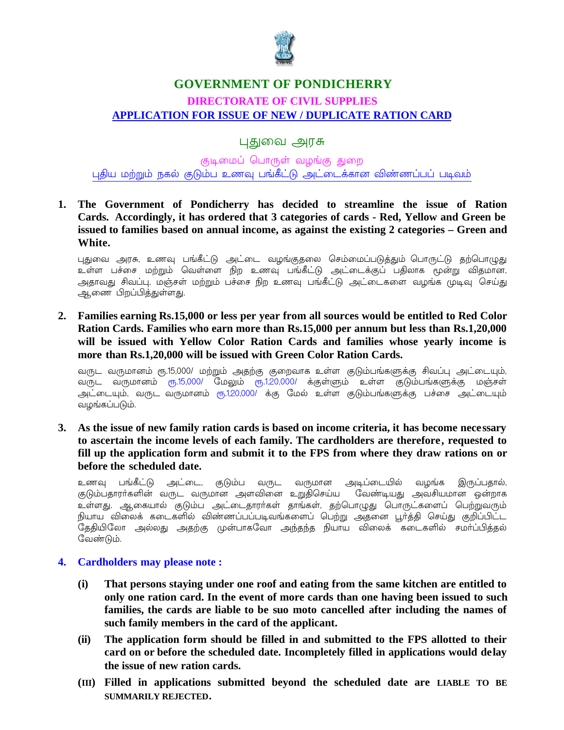

# **GOVERNMENT OF PONDICHERRY DIRECTORATE OF CIVIL SUPPLIES APPLICATION FOR ISSUE OF NEW / DUPLICATE RATION CARD**

புதுவை அரசு

குடிமைப் பொருள் வழங்கு துறை புதிய மற்றும் நகல் குடும்ப உணவு பங்கீட்டு அட்டைக்கான விண்ணப்பப் படிவம்

1. The Government of Pondicherry has decided to streamline the issue of Ration Cards. Accordingly, it has ordered that 3 categories of cards - Red, Yellow and Green be issued to families based on annual income, as against the existing 2 categories – Green and White.

புதுவை அரசு, உணவு பங்கீட்டு அட்டை வழங்குதலை செம்மைப்படுத்தும் பொருட்டு தற்பொழுது .<br>உள்ள பச்சை மற்றும் வெள்ளை நிற உணவு பங்கீட்டு அட்டைக்குப் பகிலாக மூன்று விகமான, அதாவது சிவப்பு, மஞ்சள் மற்றும் பச்சை நிற உணவு பங்கீட்டு அட்டைகளை வழங்க முடிவு செய்து ஆணை பிறப்பித்துள்ளது.

2. Families earning Rs.15,000 or less per year from all sources would be entitled to Red Color Ration Cards. Families who earn more than Rs.15,000 per annum but less than Rs.1,20,000 will be issued with Yellow Color Ration Cards and families whose yearly income is more than Rs.1,20,000 will be issued with Green Color Ration Cards.

வருட வருமானம் ரூ.15,000/ மற்றும் அதற்கு குறைவாக உள்ள குடும்பங்களுக்கு சிவப்பு அட்டையும், வருட வருமானம் ரூ.15,000/ மேலும் ரூ.1,20,000/ க்குள்ளும் உள்ள குடும்பங்களுக்கு மஞ்சள் அட்டையும், வருட வருமானம் ரூ.1,20,000/ க்கு மேல் உள்ள குடும்பங்களுக்கு பச்சை அட்டையும் வழங்கப்படும்.

3. As the issue of new family ration cards is based on income criteria, it has become necessary to ascertain the income levels of each family. The cardholders are therefore, requested to fill up the application form and submit it to the FPS from where they draw rations on or before the scheduled date.

பங்கீட்டு அட்டை, குடும்ப வருட வருமான அடிப்டையில் வழங்க இருப்பகால். உணவ குடும்பகாரா்களின் வருட வருமான அளவினை உறுதிசெய்ய வேண்டியது அவசியமான ண்றாக உள்ளது. ஆகையால் குடும்ப அட்டைதாரா்கள் தாங்கள், தற்பொழுது பொருட்களைப் பெற்றுவரும் .<br>நியாய விலைக் கடைகளில் விண்ணப்பப்படிவங்களைப் பெற்று அதனை பூா்த்தி செய்து குறிப்பிட்ட .<br>தேதியிலோ அல்லது அதற்கு முன்பாகவோ அந்தந்த நியாய விலைக் கடைகளில் சமாப்பித்தல் வேண்டும்.

## 4. Cardholders may please note:

- $(i)$ That persons staying under one roof and eating from the same kitchen are entitled to only one ration card. In the event of more cards than one having been issued to such families, the cards are liable to be suo moto cancelled after including the names of such family members in the card of the applicant.
- $(ii)$ The application form should be filled in and submitted to the FPS allotted to their card on or before the scheduled date. Incompletely filled in applications would delay the issue of new ration cards.
- (III) Filled in applications submitted beyond the scheduled date are LIABLE TO BE **SUMMARILY REJECTED.**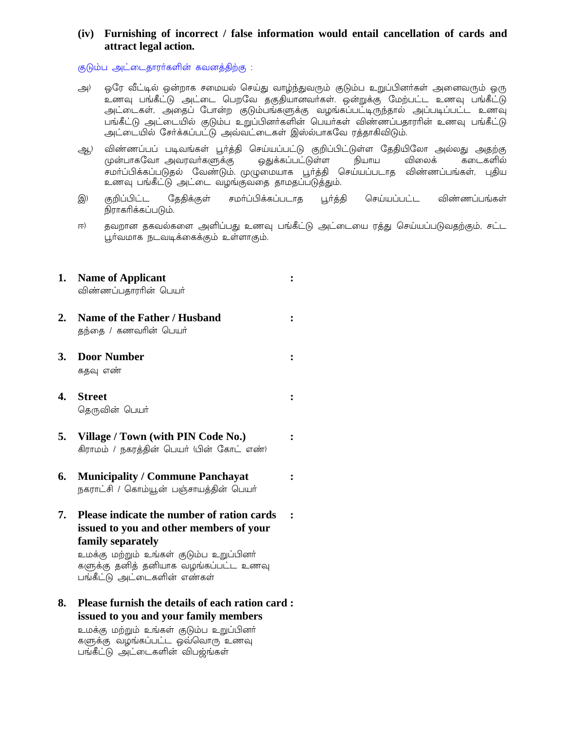#### (iv) Furnishing of incorrect / false information would entail cancellation of cards and attract legal action.

குடும்ப அட்டைதாரா்களின் கவனத்திற்கு :

- ஒரே வீட்டில் ஒன்றாக சமையல் செய்து வாழ்ந்துவரும் குடும்ப உறுப்பினர்கள் அனைவரும் ஒரு (ہوبے உணவு பங்கீட்டு அட்டை பெறவே தகுதியானவர்கள். ஒன்றுக்கு மேற்பட்ட உணவு பங்கீட்டு அட்டைகள், அதைப் போன்ற குடும்பங்களுக்கு வழங்கப்பட்டிருந்தால் அப்படிப்பட்ட உணவு .<br>பங்கீட்டு அட்டையில் குடும்ப உறுப்பினர்களின் பெயர்கள் விண்ணப்பதாரரின் உணவு பங்கீட்டு அட்டையில் சேர்க்கப்பட்டு அவ்வட்டைகள் இஸ்ல்பாகவே ரத்தாகிவிடும்.
- விண்ணப்பப் படிவங்கள் பூர்த்தி செய்யப்பட்டு குறிப்பிட்டுள்ள தேதியிலோ அல்லது அதற்கு ஆ) ஒதுக்கப்பட்டுள்ள முன்பாகவோ அவரவாகளுக்கு நியாய விலைக் கடைகளில் சமா்ப்பிக்கப்படுதல் வேண்டும். முழுமையாக பூா்த்தி செய்யப்படாத விண்ணப்பங்கள், புதிய உணவு பங்கீட்டு அட்டை வழங்குவதை தாமதப்படுத்தும்.
- குறிப்பிட்ட தேதிக்குள் சமா்ப்பிக்கப்படாத செய்யப்பட்ட பூர்த்தி விண்ணப்பங்கள் இ) நிராகரிக்கப்படும்.
- தவறான தகவல்களை அளிப்பது உணவு பங்கீட்டு அட்டையை ரத்து செய்யப்படுவதற்கும், சட்ட  $\overline{H}$ பூர்வமாக நடவடிக்கைக்கும் உள்ளாகும்.

 $\ddot{\cdot}$ 

 $\ddot{\cdot}$ 

 $\ddot{\cdot}$ 

 $\ddot{\cdot}$ 

 $\ddot{\cdot}$ 

 $\ddot{\cdot}$ 

#### 1. Name of Applicant

விண்ணப்பதாரரின் பெயர்

- 2. Name of the Father / Husband கந்தை / கணவரின் பெயர்
- 3. Door Number

கதவு எண்

- 4. Street தெருவின் பெயர்
- 5. Village / Town (with PIN Code No.) கிராமம் / நகரத்தின் பெயர் (பின் கோட் எண்)

## 6. Municipality / Commune Panchayat நகராட்சி / கொம்யூன் பஞ்சாயத்தின் பெயர்

7. Please indicate the number of ration cards : issued to you and other members of your family separately

உமக்கு மற்றும் உங்கள் குடும்ப உறுப்பினர் களுக்கு தனித் தனியாக வழங்கப்பட்ட உணவு பங்கீட்டு அட்டைகளின் எண்கள்

8. Please furnish the details of each ration card: issued to you and your family members

உமக்கு மற்றும் உங்கள் குடும்ப உறுப்பினர் களுக்கு வழங்கப்பட்ட ஒவ்வொரு உணவு பங்கீட்டு அட்டைகளின் விபஜங்கள்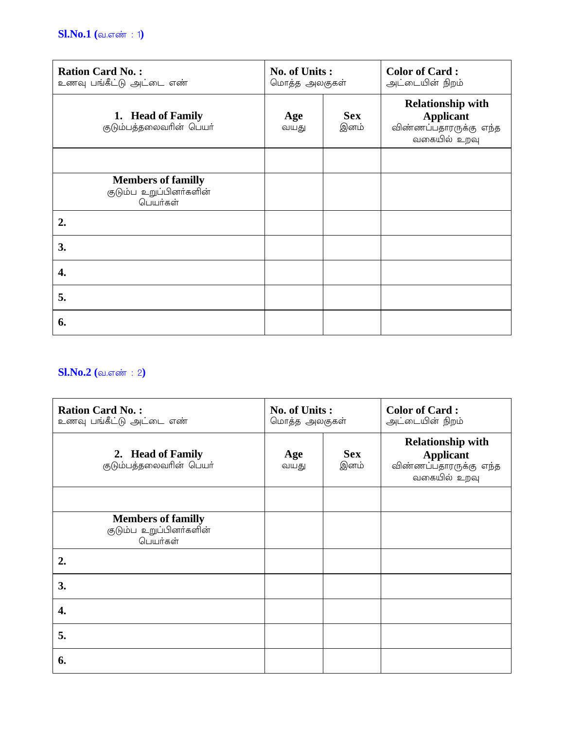| <b>Ration Card No.:</b><br>உணவு பங்கீட்டு அட்டை எண்              | No. of Units:<br>மொத்த அலகுகள் |                    | <b>Color of Card:</b><br>அட்டையின் நிறம்                                               |
|------------------------------------------------------------------|--------------------------------|--------------------|----------------------------------------------------------------------------------------|
| 1. Head of Family<br>குடும்பத்தலைவரின் பெயர்                     | Age<br>வயது                    | <b>Sex</b><br>இனம் | <b>Relationship with</b><br><b>Applicant</b><br>விண்ணப்பதாரருக்கு எந்த<br>வகையில் உறவு |
|                                                                  |                                |                    |                                                                                        |
| <b>Members of familly</b><br>குடும்ப உறுப்பினர்களின்<br>பெயர்கள் |                                |                    |                                                                                        |
| 2.                                                               |                                |                    |                                                                                        |
| 3.                                                               |                                |                    |                                                                                        |
| 4.                                                               |                                |                    |                                                                                        |
| 5.                                                               |                                |                    |                                                                                        |
| 6.                                                               |                                |                    |                                                                                        |

# $SLNo.2$  (வ.எண்: 2)

| <b>Ration Card No.:</b><br>உணவு பங்கீட்டு அட்டை எண்              | No. of Units:<br>மொத்த அலகுகள் |                    | <b>Color of Card:</b><br>அட்டையின் நிறம்                                               |
|------------------------------------------------------------------|--------------------------------|--------------------|----------------------------------------------------------------------------------------|
| 2. Head of Family<br>குடும்பத்தலைவரின் பெயர்                     | Age<br>வயது                    | <b>Sex</b><br>இனம் | <b>Relationship with</b><br><b>Applicant</b><br>விண்ணப்பதாரருக்கு எந்த<br>வகையில் உறவு |
|                                                                  |                                |                    |                                                                                        |
| <b>Members of familly</b><br>குடும்ப உறுப்பினர்களின்<br>பெயர்கள் |                                |                    |                                                                                        |
| 2.                                                               |                                |                    |                                                                                        |
| 3.                                                               |                                |                    |                                                                                        |
| 4.                                                               |                                |                    |                                                                                        |
| 5.                                                               |                                |                    |                                                                                        |
| 6.                                                               |                                |                    |                                                                                        |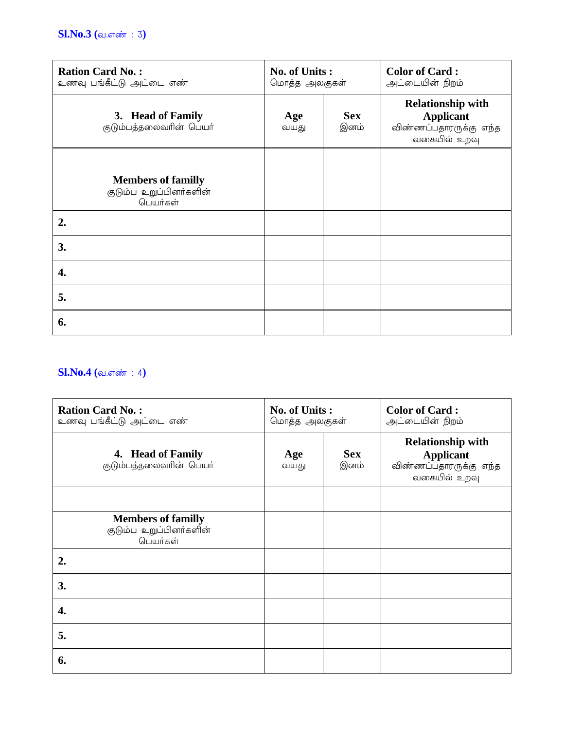| <b>Ration Card No.:</b><br>உணவு பங்கீட்டு அட்டை எண்              | No. of Units:<br>மொத்த அலகுகள் |                    | <b>Color of Card:</b><br>அட்டையின் நிறம்                                               |
|------------------------------------------------------------------|--------------------------------|--------------------|----------------------------------------------------------------------------------------|
| 3. Head of Family<br>குடும்பத்தலைவரின் பெயர்                     | Age<br>வயது                    | <b>Sex</b><br>இனம் | <b>Relationship with</b><br><b>Applicant</b><br>விண்ணப்பதாரருக்கு எந்த<br>வகையில் உறவு |
|                                                                  |                                |                    |                                                                                        |
| <b>Members of familly</b><br>குடும்ப உறுப்பினர்களின்<br>பெயர்கள் |                                |                    |                                                                                        |
| 2.                                                               |                                |                    |                                                                                        |
| 3.                                                               |                                |                    |                                                                                        |
| 4.                                                               |                                |                    |                                                                                        |
| 5.                                                               |                                |                    |                                                                                        |
| 6.                                                               |                                |                    |                                                                                        |

# $SLNo.4$  (வ.எண் : 4)

| <b>Ration Card No.:</b><br>உணவு பங்கீட்டு அட்டை எண்              | No. of Units:<br>மொத்த அலகுகள் |                    | <b>Color of Card:</b><br>அட்டையின் நிறம்                                               |
|------------------------------------------------------------------|--------------------------------|--------------------|----------------------------------------------------------------------------------------|
| 4. Head of Family<br>குடும்பத்தலைவரின் பெயர்                     | Age<br>வயது                    | <b>Sex</b><br>இனம் | <b>Relationship with</b><br><b>Applicant</b><br>விண்ணப்பதாரருக்கு எந்த<br>வகையில் உறவு |
|                                                                  |                                |                    |                                                                                        |
| <b>Members of familly</b><br>குடும்ப உறுப்பினர்களின்<br>பெயர்கள் |                                |                    |                                                                                        |
| 2.                                                               |                                |                    |                                                                                        |
| 3.                                                               |                                |                    |                                                                                        |
| 4.                                                               |                                |                    |                                                                                        |
| 5.                                                               |                                |                    |                                                                                        |
| 6.                                                               |                                |                    |                                                                                        |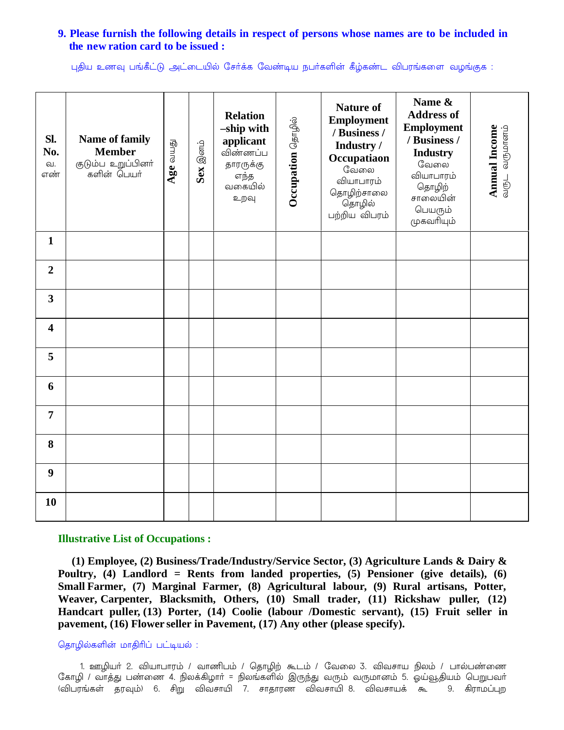## 9. Please furnish the following details in respect of persons whose names are to be included in the new ration card to be issued :

புதிய உணவு பங்கீட்டு அட்டையில் சேர்க்க வேண்டிய நபர்களின் கீழ்கண்ட விபரங்களை வழங்குக :

| Sl.<br>No.<br>வ.<br>எண் | Name of family<br><b>Member</b><br>குடும்ப உறுப்பினர்<br>களின் பெயர் | $Age$ வயது | இனம்<br>Sex | <b>Relation</b><br>-ship with<br>applicant<br>விண்ணப்ப<br>தாரருக்கு<br>எந்த<br>வகையில்<br>உறவு | Occupation தொழில் | <b>Nature of</b><br><b>Employment</b><br>/ Business /<br>Industry /<br>Occupatiaon<br>வேலை<br>வியாபாரம்<br>தொழிற்சாலை<br>தொழில்<br>பற்றிய விபரம் | Name &<br><b>Address of</b><br><b>Employment</b><br>/ Business /<br><b>Industry</b><br>வேலை<br>வியாபாரம்<br>தொழிற்<br>சாலையின்<br>பெயரும்<br>முகவாியும் | <b>Annual Income</b><br>வருட வருமானம் |
|-------------------------|----------------------------------------------------------------------|------------|-------------|------------------------------------------------------------------------------------------------|-------------------|--------------------------------------------------------------------------------------------------------------------------------------------------|---------------------------------------------------------------------------------------------------------------------------------------------------------|---------------------------------------|
| $\mathbf{1}$            |                                                                      |            |             |                                                                                                |                   |                                                                                                                                                  |                                                                                                                                                         |                                       |
| $\overline{2}$          |                                                                      |            |             |                                                                                                |                   |                                                                                                                                                  |                                                                                                                                                         |                                       |
| $\overline{3}$          |                                                                      |            |             |                                                                                                |                   |                                                                                                                                                  |                                                                                                                                                         |                                       |
| $\overline{\mathbf{4}}$ |                                                                      |            |             |                                                                                                |                   |                                                                                                                                                  |                                                                                                                                                         |                                       |
| 5                       |                                                                      |            |             |                                                                                                |                   |                                                                                                                                                  |                                                                                                                                                         |                                       |
| 6                       |                                                                      |            |             |                                                                                                |                   |                                                                                                                                                  |                                                                                                                                                         |                                       |
| $\overline{7}$          |                                                                      |            |             |                                                                                                |                   |                                                                                                                                                  |                                                                                                                                                         |                                       |
| 8                       |                                                                      |            |             |                                                                                                |                   |                                                                                                                                                  |                                                                                                                                                         |                                       |
| 9                       |                                                                      |            |             |                                                                                                |                   |                                                                                                                                                  |                                                                                                                                                         |                                       |
| 10                      |                                                                      |            |             |                                                                                                |                   |                                                                                                                                                  |                                                                                                                                                         |                                       |

#### **Illustrative List of Occupations:**

(1) Employee, (2) Business/Trade/Industry/Service Sector, (3) Agriculture Lands & Dairy & Poultry, (4) Landlord = Rents from landed properties, (5) Pensioner (give details), (6) Small Farmer, (7) Marginal Farmer, (8) Agricultural labour, (9) Rural artisans, Potter, Weaver, Carpenter, Blacksmith, Others, (10) Small trader, (11) Rickshaw puller, (12) Handcart puller, (13) Porter, (14) Coolie (labour /Domestic servant), (15) Fruit seller in pavement, (16) Flower seller in Pavement, (17) Any other (please specify).

#### தொழில்களின் மாதிரிப் பட்டியல் :

1. ஊழியா் 2. வியாபாரம் / வாணிபம் / தொழிற் கூடம் / வேலை 3. விவசாய நிலம் / பால்பண்ணை கோழி / வாத்து பண்ணை 4. நிலக்கிழாா் = நிலங்களில் இருந்து வரும் வருமானம் 5. ஓய்வூதியம் பெறுபவா் (விபரங்கள் தரவும்) 6. சிறு விவசாயி 7. சாதாரண விவசாயி 8. விவசாயக் கூ 9. கிராமப்புற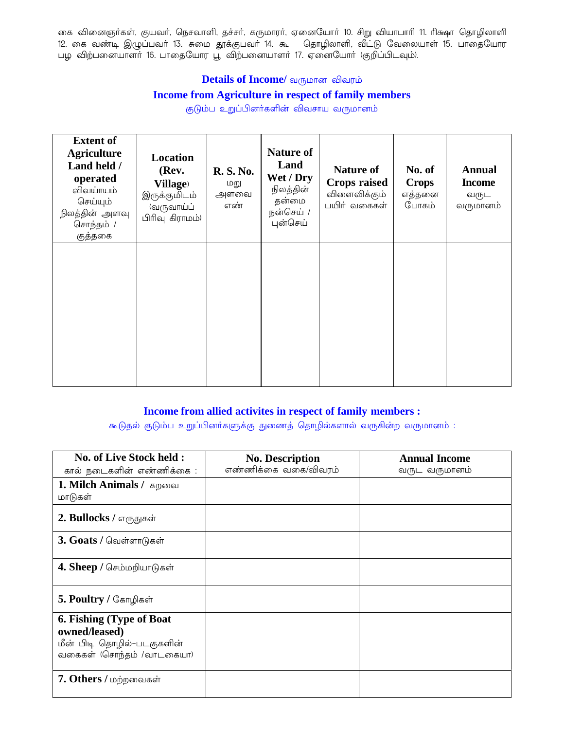கை வினைஞர்கள், குயவர், நெசவாளி, தச்சர், கருமாரர், ஏனையோர் 10. சிறு வியாபாரி 11. ரிக்ஷா தொழிலாளி 12. கை வண்டி இழுப்பவர் 13. சுமை தூக்குபவர் 14. கூ தொழிலாளி, வீட்டு வேலையாள் 15. பாதையோர பழ விற்பனையாளர் 16. பாதையோர பூ விற்பனையாளர் 17. ஏனையோர் (குறிப்பிடவும்).

### Details of Income/ வருமான விவரம்

#### **Income from Agriculture in respect of family members**

குடும்ப உறுப்பினர்களின் விவசாய வருமானம்

| <b>Extent of</b><br><b>Agriculture</b><br>Land held /<br>operated<br>விவய்ாயம்<br>செய்யும்<br>நிலத்தின் அளவு<br>சொந்தம் /<br>குத்தகை | Location<br>(Rev.<br><b>Village</b><br>இருக்குமிடம்<br>(வருவாய்ப்<br>பிரிவு கிராமம்) | <b>R.S. No.</b><br>மறு<br>அளவை<br>எண் | <b>Nature of</b><br>Land<br>Wet / Dry<br>நிலத்தின்<br>தன்மை<br>நன்செய் /<br>புன்செய் | <b>Nature of</b><br><b>Crops raised</b><br>விளைவிக்கும்<br>பயிர் வகைகள் | No. of<br><b>Crops</b><br>எத்தனை<br>போகம் | <b>Annual</b><br><b>Income</b><br>வருட<br>வருமானம் |
|--------------------------------------------------------------------------------------------------------------------------------------|--------------------------------------------------------------------------------------|---------------------------------------|--------------------------------------------------------------------------------------|-------------------------------------------------------------------------|-------------------------------------------|----------------------------------------------------|
|                                                                                                                                      |                                                                                      |                                       |                                                                                      |                                                                         |                                           |                                                    |

#### Income from allied activites in respect of family members :

கூடுதல் குடும்ப உறுப்பினர்களுக்கு துணைத் தொழில்களால் வருகின்ற வருமானம் :

| <b>No. of Live Stock held:</b> | <b>No. Description</b> | <b>Annual Income</b> |
|--------------------------------|------------------------|----------------------|
| கால் நடைகளின் எண்ணிக்கை :      | எண்ணிக்கை வகை/விவரம்   | வருட வருமானம்        |
| 1. Milch Animals / கறவை        |                        |                      |
| மாடுகள்                        |                        |                      |
| 2. Bullocks / எருதுகள்         |                        |                      |
| 3. Goats / வெள்ளாடுகள்         |                        |                      |
| 4. Sheep / செம்மறியாடுகள்      |                        |                      |
| 5. Poultry / கோழிகள்           |                        |                      |
| 6. Fishing (Type of Boat       |                        |                      |
| owned/leased)                  |                        |                      |
| மீன் பிடி தொழில்–படகுகளின்     |                        |                      |
| வகைகள் (சொந்தம் /வாடகையா)      |                        |                      |
| 7. Others / மற்றவைகள்          |                        |                      |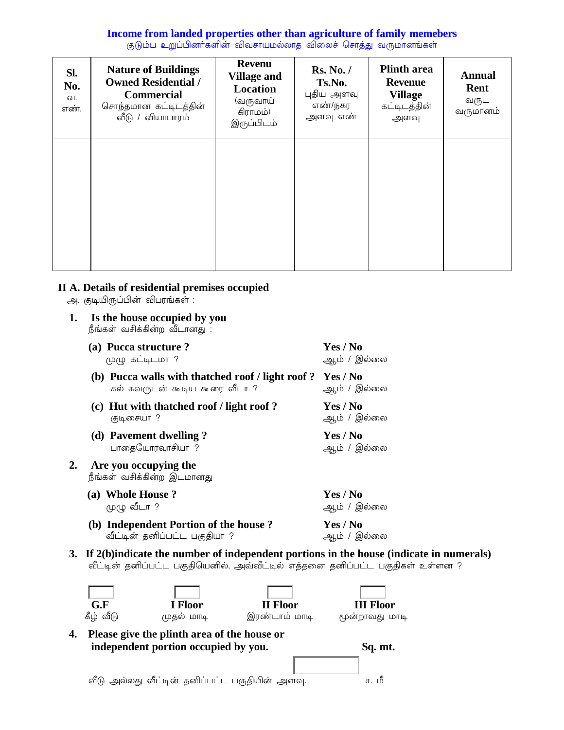## Income from landed properties other than agriculture of family memebers

குடும்ப உறுப்பினர்களின் விவசாயமல்லாத விலைச் சொத்து வருமானங்கள்

| SI.<br>No.<br>வ.<br>எண். | <b>Nature of Buildings</b><br><b>Owned Residential /</b><br><b>Commercial</b><br>சொந்தமான கட்டிடத்தின்<br>வீடு / வியாபாரம் | <b>Revenu</b><br><b>Village and</b><br>Location<br>(வருவாய்<br>கிராமம்)<br>இருப்பிடம் | <b>Rs. No. /</b><br>Ts.No.<br>புதிய அளவு<br>எண்/நகர<br>அளவு எண் | <b>Plinth area</b><br><b>Revenue</b><br><b>Village</b><br>கட்டிடத்தின்<br>அளவு | <b>Annual</b><br>Rent<br>வருட<br>வருமானம் |
|--------------------------|----------------------------------------------------------------------------------------------------------------------------|---------------------------------------------------------------------------------------|-----------------------------------------------------------------|--------------------------------------------------------------------------------|-------------------------------------------|
|                          |                                                                                                                            |                                                                                       |                                                                 |                                                                                |                                           |

### II A. Details of residential premises occupied

ஆ. குடியிருப்பின் விபரங்கள் :

 $2.$ 

#### 1. Is the house occupied by you நீங்கள் வசிக்கின்ற வீடானது :

| (a) Pucca structure?                                               | Yes / No    |
|--------------------------------------------------------------------|-------------|
| முழு கட்டிடமா?                                                     | ஆம் / இல்லை |
| (b) Pucca walls with thatched roof / light roof?                   | Yes / No    |
| கல் சுவருடன் கூடிய கூரை வீடா ?                                     | ஆம் / இல்லை |
| (c) Hut with thatched roof $\ell$ light roof ?                     | Yes / No    |
| குடிசையா ?                                                         | ஆம் / இல்லை |
| (d) Pavement dwelling ?                                            | Yes / No    |
| பாதையோரவாசியா ?                                                    | ஆம் / இல்லை |
| Are you occupying the<br>நீங்கள் வசிக்கின்ற இடமானது                |             |
| (a) Whole House ?                                                  | Yes / No    |
| முழு வீடா ?                                                        | ஆம் / இல்லை |
| (b) Independent Portion of the house?                              | Yes / No    |
| வீட்டின் தனிப்பட்ட பகுதியா ?                                       | ஆம் / இல்லை |
| If 2(b)indicate the number of independent portions in the house (i |             |

3. If 2(b)indicate the number of independent portions in the house (indicate in numerals)<br>வீட்டின் தனிப்பட்ட பகுதியெனில், அவ்வீட்டில் எத்தனை தனிப்பட்ட பகுதிகள் உள்ளன ?



4. Please give the plinth area of the house or independent portion occupied by you.

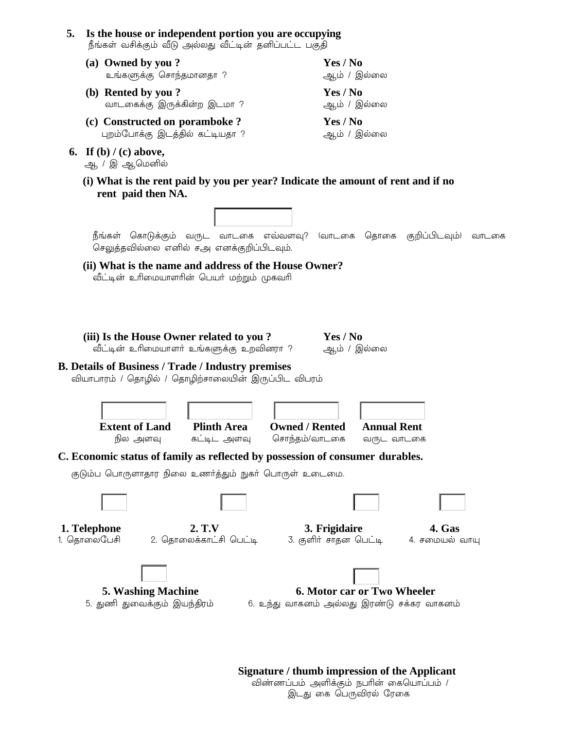

Signature / thumb impression of the Applicant .<br>விண்ணப்பம் அளிக்கும் நபரின் கையொப்பம் / இடது கை பெருவிரல் ரேகை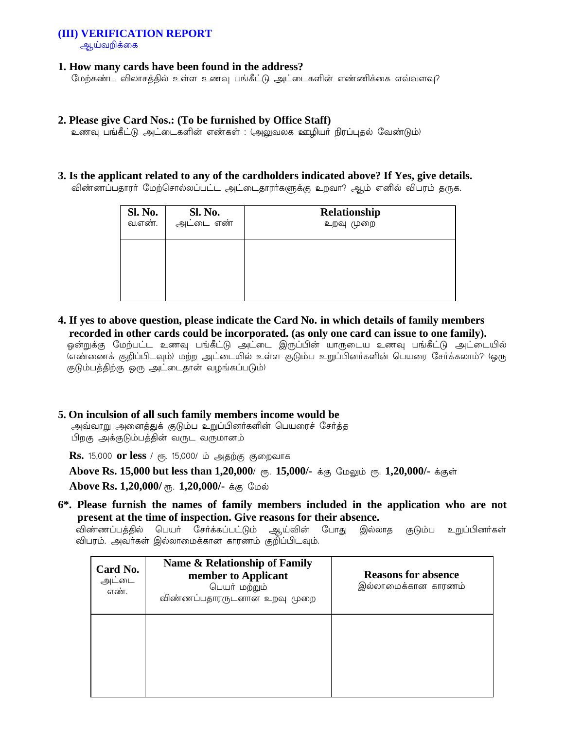#### **(III) VERIFICATION REPORT**

ஆய்வறிக்கை

#### 1. How many cards have been found in the address?

மேற்கண்ட விலாசத்தில் உள்ள உணவு பங்கீட்டு அட்டைகளின் எண்ணிக்கை எவ்வளவு?

#### 2. Please give Card Nos.: (To be furnished by Office Staff)

உணவு பங்கீட்டு அட்டைகளின் எண்கள் : (அலுவலக ஊழியா் நிரப்புதல் வேண்டும்)

#### 3. Is the applicant related to any of the cardholders indicated above? If Yes, give details.

விண்ணப்பதாரா் மேற்சொல்லப்பட்ட அட்டைதாரா்களுக்கு உறவா? ஆம் எனில் விபரம் தருக.

| <b>Sl. No.</b><br>வ.எண். | <b>Sl. No.</b><br>அட்டை எண் | Relationship<br>உறவு முறை |
|--------------------------|-----------------------------|---------------------------|
|                          |                             |                           |
|                          |                             |                           |

4. If yes to above question, please indicate the Card No. in which details of family members recorded in other cards could be incorporated. (as only one card can issue to one family). ஒன்றுக்கு மேற்பட்ட உணவு பங்கீட்டு அட்டை இருப்பின் யாருடைய உணவு பங்கீட்டு அட்டையில் (எண்ணைக் குறிப்பிடவும்) மற்ற அட்டையில் உள்ள குடும்ப உறுப்பினர்களின் பெயரை சேர்க்கலாம்? (ஒரு குடும்பத்திற்கு ஒரு அட்டைதான் வழங்கப்படும்)

5. On inculsion of all such family members income would be

அவ்வாறு அனைத்துக் குடும்ப உறுப்பினர்களின் பெயரைச் சேர்த்த பிறகு அக்குடும்பத்தின் வருட வருமானம்

Rs. 15,000 or less / ரந. 15,000/ ம் அதற்கு குறைவாக

Above Rs. 15,000 but less than 1,20,000/  $_{\text{eff.}}$  15,000/-  $\dot{\text{g}}$   $\text{g}$  Closs  $\dot{\text{g}}$   $\text{m}$ . 1,20,000/-  $\dot{\text{g}}$   $\text{g}$   $\dot{\text{g}}$ 

Above Rs. 1,20,000/ ரூ. 1,20,000/- க்கு மேல்

6\*. Please furnish the names of family members included in the application who are not present at the time of inspection. Give reasons for their absence.

விண்ணப்பக்கில் பெயர் சேர்க்கப்பட்டும் ஆய்வின் போகு இல்லாக குடும்ப உறுப்பினர்கள் விபரம். அவா்கள் இல்லாமைக்கான காரணம் குறிப்பிடவும்.

| Card No.<br>அட்டை<br>எண். | Name & Relationship of Family<br>member to Applicant<br>பெயர் மற்றும்<br>விண்ணப்பதாரருடனான உறவு முறை | <b>Reasons for absence</b><br>இல்லாமைக்கான காரணம் |
|---------------------------|------------------------------------------------------------------------------------------------------|---------------------------------------------------|
|                           |                                                                                                      |                                                   |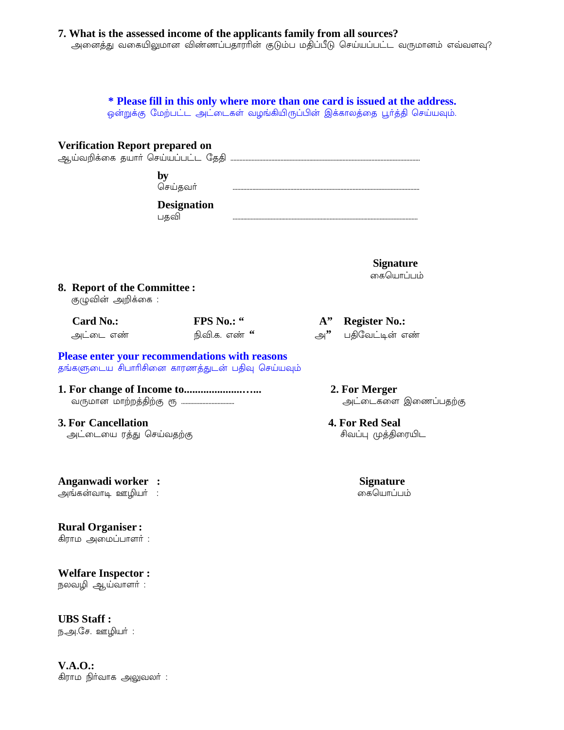#### 7. What is the assessed income of the applicants family from all sources?

அனைத்து வகையிலுமான விண்ணப்பதாராின் குடும்ப மதிப்பீடு செய்யப்பட்ட வருமானம் எவ்வளவு?

#### \* Please fill in this only where more than one card is issued at the address.

ஒன்றுக்கு மேற்பட்ட அட்டைகள் வழங்கியிருப்பின் இக்காலத்தை பூர்த்தி செய்யவும்.

#### **Verification Report prepared on**

 $$ 

செய்தவர்

**Designation** பதவி

> **Signature** கையொப்பம்

# 8. Report of the Committee :

குழுவின் அறிக்கை :

| <b>Card No.:</b> | <b>FPS No.: "</b>      | A" Register No.:   |
|------------------|------------------------|--------------------|
| அட்டை எண்        | நி.வி.க. எண் <b>''</b> | அ" பதிவேட்டின் எண் |

**Please enter your recommendations with reasons** தங்களுடைய சிபாரிசினை காரணத்துடன் பதிவு செய்யவும்

**3. For Cancellation** அட்டையை ரத்து செய்வதற்கு

#### Anganwadi worker :

அங்கன்வாடி ஊழியா் :

# **Rural Organiser:**

கிராம அமைப்பாளர் :

## **Welfare Inspector:**

நலவழி ஆய்வாளா் :

**UBS Staff:** ந.அ.சே. ஊழியர் :

**V.A.O.:** கிராம நிா்வாக அலுவலா் :

2. For Merger அட்டைகளை இணைப்பதற்கு

**4. For Red Seal** சிவப்பு முத்திரையிட

> **Signature** கையொப்பம்